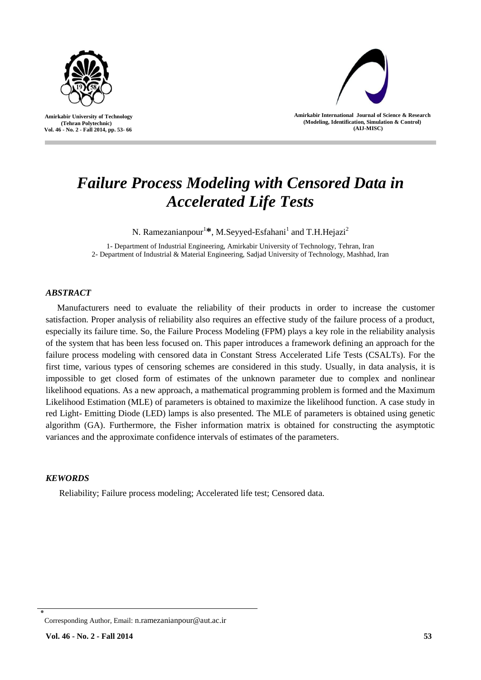

l



**Amirkabir International Journal of Science & Research (Modeling, Identification, Simulation & Control) (AIJ-MISC)**

# *Failure Process Modeling with Censored Data in Accelerated Life Tests*

N. Ramezanianpour<sup>1</sup>\*, M.Seyyed-Esfahani<sup>1</sup> and T.H.Hejazi<sup>2</sup>

1- Department of Industrial Engineering, Amirkabir University of Technology, Tehran, Iran 2- Department of Industrial & Material Engineering, Sadjad University of Technology, Mashhad, Iran

# *ABSTRACT*

Manufacturers need to evaluate the reliability of their products in order to increase the customer satisfaction. Proper analysis of reliability also requires an effective study of the failure process of a product, especially its failure time. So, the Failure Process Modeling (FPM) plays a key role in the reliability analysis of the system that has been less focused on. This paper introduces a framework defining an approach for the failure process modeling with censored data in Constant Stress Accelerated Life Tests (CSALTs). For the first time, various types of censoring schemes are considered in this study. Usually, in data analysis, it is impossible to get closed form of estimates of the unknown parameter due to complex and nonlinear likelihood equations. As a new approach, a mathematical programming problem is formed and the Maximum Likelihood Estimation (MLE) of parameters is obtained to maximize the likelihood function. A case study in red Light- Emitting Diode (LED) lamps is also presented. The MLE of parameters is obtained using genetic algorithm (GA). Furthermore, the Fisher information matrix is obtained for constructing the asymptotic variances and the approximate confidence intervals of estimates of the parameters.

# *KEWORDS*

Reliability; Failure process modeling; Accelerated life test; Censored data.

<sup>٭</sup> Corresponding Author, Email: n.ramezanianpour@aut.ac.ir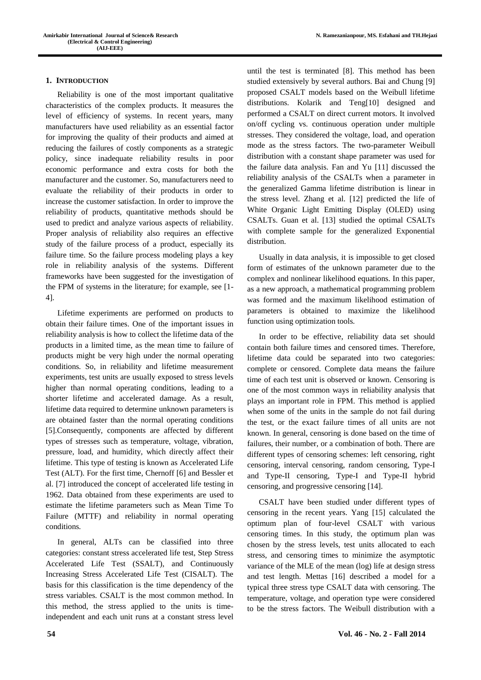# **1. INTRODUCTION**

Reliability is one of the most important qualitative characteristics of the complex products. It measures the level of efficiency of systems. In recent years, many manufacturers have used reliability as an essential factor for improving the quality of their products and aimed at reducing the failures of costly components as a strategic policy, since inadequate reliability results in poor economic performance and extra costs for both the manufacturer and the customer. So, manufacturers need to evaluate the reliability of their products in order to increase the customer satisfaction. In order to improve the reliability of products, quantitative methods should be used to predict and analyze various aspects of reliability. Proper analysis of reliability also requires an effective study of the failure process of a product, especially its failure time. So the failure process modeling plays a key role in reliability analysis of the systems. Different frameworks have been suggested for the investigation of the FPM of systems in the literature; for example, see [1- 4].

Lifetime experiments are performed on products to obtain their failure times. One of the important issues in reliability analysis is how to collect the lifetime data of the products in a limited time, as the mean time to failure of products might be very high under the normal operating conditions. So, in reliability and lifetime measurement experiments, test units are usually exposed to stress levels higher than normal operating conditions, leading to a shorter lifetime and accelerated damage. As a result, lifetime data required to determine unknown parameters is are obtained faster than the normal operating conditions [5].Consequently, components are affected by different types of stresses such as temperature, voltage, vibration, pressure, load, and humidity, which directly affect their lifetime. This type of testing is known as Accelerated Life Test (ALT). For the first time, Chernoff [6] and Bessler et al. [7] introduced the concept of accelerated life testing in 1962. Data obtained from these experiments are used to estimate the lifetime parameters such as Mean Time To Failure (MTTF) and reliability in normal operating conditions.

In general, ALTs can be classified into three categories: constant stress accelerated life test, Step Stress Accelerated Life Test (SSALT), and Continuously Increasing Stress Accelerated Life Test (CISALT). The basis for this classification is the time dependency of the stress variables. CSALT is the most common method. In this method, the stress applied to the units is timeindependent and each unit runs at a constant stress level until the test is terminated [8]. This method has been studied extensively by several authors. Bai and Chung [9] proposed CSALT models based on the Weibull lifetime distributions. Kolarik and Teng[10] designed and performed a CSALT on direct current motors. It involved on/off cycling vs. continuous operation under multiple stresses. They considered the voltage, load, and operation mode as the stress factors. The two-parameter Weibull distribution with a constant shape parameter was used for the failure data analysis. Fan and Yu [11] discussed the reliability analysis of the CSALTs when a parameter in the generalized Gamma lifetime distribution is linear in the stress level. Zhang et al. [12] predicted the life of White Organic Light Emitting Display (OLED) using CSALTs. Guan et al. [13] studied the optimal CSALTs with complete sample for the generalized Exponential distribution.

Usually in data analysis, it is impossible to get closed form of estimates of the unknown parameter due to the complex and nonlinear likelihood equations. In this paper, as a new approach, a mathematical programming problem was formed and the maximum likelihood estimation of parameters is obtained to maximize the likelihood function using optimization tools.

In order to be effective, reliability data set should contain both failure times and censored times. Therefore, lifetime data could be separated into two categories: complete or censored. Complete data means the failure time of each test unit is observed or known. Censoring is one of the most common ways in reliability analysis that plays an important role in FPM. This method is applied when some of the units in the sample do not fail during the test, or the exact failure times of all units are not known. In general, censoring is done based on the time of failures, their number, or a combination of both. There are different types of censoring schemes: left censoring, right censoring, interval censoring, random censoring, Type-I and Type-II censoring, Type-I and Type-II hybrid censoring, and progressive censoring [14].

CSALT have been studied under different types of censoring in the recent years. Yang [15] calculated the optimum plan of four-level CSALT with various censoring times. In this study, the optimum plan was chosen by the stress levels, test units allocated to each stress, and censoring times to minimize the asymptotic variance of the MLE of the mean (log) life at design stress and test length. Mettas [16] described a model for a typical three stress type CSALT data with censoring. The temperature, voltage, and operation type were considered to be the stress factors. The Weibull distribution with a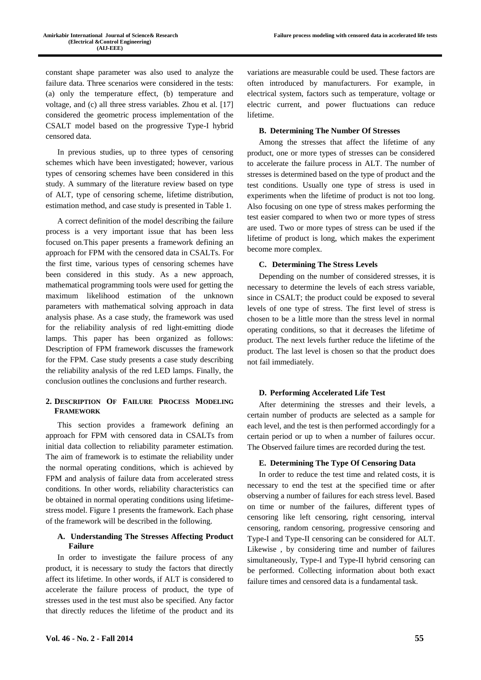constant shape parameter was also used to analyze the failure data. Three scenarios were considered in the tests: (a) only the temperature effect, (b) temperature and voltage, and (c) all three stress variables. Zhou et al. [17] considered the geometric process implementation of the CSALT model based on the progressive Type-I hybrid censored data.

In previous studies, up to three types of censoring schemes which have been investigated; however, various types of censoring schemes have been considered in this study. A summary of the literature review based on type of ALT, type of censoring scheme, lifetime distribution, estimation method, and case study is presented in Table 1.

A correct definition of the model describing the failure process is a very important issue that has been less focused on.This paper presents a framework defining an approach for FPM with the censored data in CSALTs. For the first time, various types of censoring schemes have been considered in this study. As a new approach, mathematical programming tools were used for getting the maximum likelihood estimation of the unknown parameters with mathematical solving approach in data analysis phase. As a case study, the framework was used for the reliability analysis of red light-emitting diode lamps. This paper has been organized as follows: Description of FPM framework discusses the framework for the FPM. Case study presents a case study describing the reliability analysis of the red LED lamps. Finally, the conclusion outlines the conclusions and further research.

# **2. DESCRIPTION OF FAILURE PROCESS MODELING FRAMEWORK**

This section provides a framework defining an approach for FPM with censored data in CSALTs from initial data collection to reliability parameter estimation. The aim of framework is to estimate the reliability under the normal operating conditions, which is achieved by FPM and analysis of failure data from accelerated stress conditions. In other words, reliability characteristics can be obtained in normal operating conditions using lifetimestress model. Figure 1 presents the framework. Each phase of the framework will be described in the following.

## **A. Understanding The Stresses Affecting Product Failure**

In order to investigate the failure process of any product, it is necessary to study the factors that directly affect its lifetime. In other words, if ALT is considered to accelerate the failure process of product, the type of stresses used in the test must also be specified. Any factor that directly reduces the lifetime of the product and its

variations are measurable could be used. These factors are often introduced by manufacturers. For example, in electrical system, factors such as temperature, voltage or electric current, and power fluctuations can reduce lifetime.

## **B. Determining The Number Of Stresses**

Among the stresses that affect the lifetime of any product, one or more types of stresses can be considered to accelerate the failure process in ALT. The number of stresses is determined based on the type of product and the test conditions. Usually one type of stress is used in experiments when the lifetime of product is not too long. Also focusing on one type of stress makes performing the test easier compared to when two or more types of stress are used. Two or more types of stress can be used if the lifetime of product is long, which makes the experiment become more complex.

### **C. Determining The Stress Levels**

Depending on the number of considered stresses, it is necessary to determine the levels of each stress variable, since in CSALT; the product could be exposed to several levels of one type of stress. The first level of stress is chosen to be a little more than the stress level in normal operating conditions, so that it decreases the lifetime of product. The next levels further reduce the lifetime of the product. The last level is chosen so that the product does not fail immediately.

## **D. Performing Accelerated Life Test**

After determining the stresses and their levels, a certain number of products are selected as a sample for each level, and the test is then performed accordingly for a certain period or up to when a number of failures occur. The Observed failure times are recorded during the test.

# **E. Determining The Type Of Censoring Data**

In order to reduce the test time and related costs, it is necessary to end the test at the specified time or after observing a number of failures for each stress level. Based on time or number of the failures, different types of censoring like left censoring, right censoring, interval censoring, random censoring, progressive censoring and Type-I and Type-II censoring can be considered for ALT. Likewise , by considering time and number of failures simultaneously, Type-I and Type-II hybrid censoring can be performed. Collecting information about both exact failure times and censored data is a fundamental task.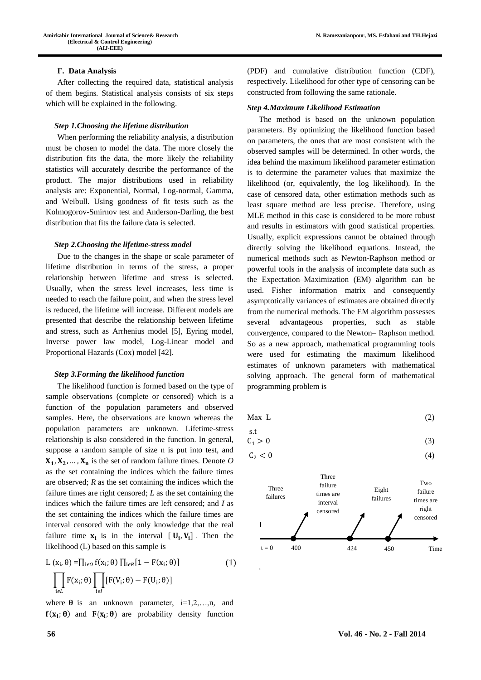# **F. Data Analysis**

After collecting the required data, statistical analysis of them begins. Statistical analysis consists of six steps which will be explained in the following.

#### *Step 1.Choosing the lifetime distribution*

When performing the reliability analysis, a distribution must be chosen to model the data. The more closely the distribution fits the data, the more likely the reliability statistics will accurately describe the performance of the product. The major distributions used in reliability analysis are: Exponential, Normal, Log-normal, Gamma, and Weibull. Using goodness of fit tests such as the Kolmogorov-Smirnov test and Anderson-Darling, the best distribution that fits the failure data is selected.

#### *Step 2.Choosing the lifetime-stress model*

Due to the changes in the shape or scale parameter of lifetime distribution in terms of the stress, a proper relationship between lifetime and stress is selected. Usually, when the stress level increases, less time is needed to reach the failure point, and when the stress level is reduced, the lifetime will increase. Different models are presented that describe the relationship between lifetime and stress, such as Arrhenius model [5], Eyring model, Inverse power law model, Log-Linear model and Proportional Hazards (Cox) model [42].

#### *Step 3.Forming the likelihood function*

The likelihood function is formed based on the type of sample observations (complete or censored) which is a function of the population parameters and observed samples. Here, the observations are known whereas the population parameters are unknown. Lifetime-stress relationship is also considered in the function. In general, suppose a random sample of size n is put into test, and  $X_1, X_2, \ldots, X_n$  is the set of random failure times. Denote O as the set containing the indices which the failure times are observed; *R* as the set containing the indices which the failure times are right censored; *L* as the set containing the indices which the failure times are left censored; and *I* as the set containing the indices which the failure times are interval censored with the only knowledge that the real failure time  $x_i$  is in the interval  $[U_i, V_i]$ . Then the likelihood (L) based on this sample is

$$
L(x_i, \theta) = \prod_{i \in O} f(x_i; \theta) \prod_{i \in R} [1 - F(x_i; \theta)] \tag{1}
$$

$$
\prod_{i \in L} F(x_i; \theta) \prod_{i \in I} [F(V_i; \theta) - F(U_i; \theta)]
$$

where  $\theta$  is an unknown parameter, i=1,2,...,n, and  $f(x_i; \theta)$  and  $F(x_i; \theta)$  are probability density function (PDF) and cumulative distribution function (CDF), respectively. Likelihood for other type of censoring can be constructed from following the same rationale.

#### *Step 4.Maximum Likelihood Estimation*

The method is based on the unknown population parameters. By optimizing the likelihood function based on parameters, the ones that are most consistent with the observed samples will be determined. In other words, the idea behind the maximum likelihood parameter estimation is to determine the parameter values that maximize the likelihood (or, equivalently, the log likelihood). In the case of censored data, other estimation methods such as least square method are less precise. Therefore, using MLE method in this case is considered to be more robust and results in estimators with good statistical properties. Usually, explicit expressions cannot be obtained through directly solving the likelihood equations. Instead, the numerical methods such as Newton-Raphson method or powerful tools in the analysis of incomplete data such as the Expectation–Maximization (EM) algorithm can be used. Fisher information matrix and consequently asymptotically variances of estimates are obtained directly from the numerical methods. The EM algorithm possesses several advantageous properties, such as stable convergence, compared to the Newton– Raphson method. So as a new approach, mathematical programming tools were used for estimating the maximum likelihood estimates of unknown parameters with mathematical solving approach. The general form of mathematical programming problem is

$$
Max L \t\t(2)
$$

$$
\begin{array}{ll}\n\text{s.t} \\
\text{C}_1 > 0\n\end{array} \tag{3}
$$

$$
C_2 < 0 \tag{4}
$$



.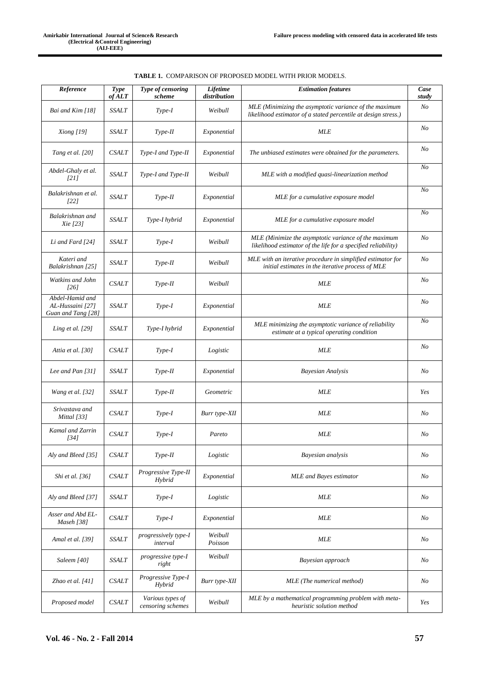| Reference                                                 | Type<br>of ALT | Type of censoring<br>scheme           | <b>Lifetime</b><br>distribution | <b>Estimation features</b>                                                                                               |                |
|-----------------------------------------------------------|----------------|---------------------------------------|---------------------------------|--------------------------------------------------------------------------------------------------------------------------|----------------|
| Bai and Kim [18]                                          | <b>SSALT</b>   | Type-I                                | Weibull                         | MLE (Minimizing the asymptotic variance of the maximum<br>likelihood estimator of a stated percentile at design stress.) | N <sub>o</sub> |
| Xiong [19]                                                | <b>SSALT</b>   | Type-II                               | Exponential                     | <b>MLE</b>                                                                                                               | $N_{O}$        |
| Tang et al. [20]                                          | <b>CSALT</b>   | Type-I and Type-II                    | Exponential                     | The unbiased estimates were obtained for the parameters.                                                                 | $N_{O}$        |
| Abdel-Ghaly et al.<br>[21]                                | SSALT          | Type-I and Type-II                    | Weibull                         | MLE with a modified quasi-linearization method                                                                           | N <sub>o</sub> |
| Balakrishnan et al.<br>1221                               | <b>SSALT</b>   | Type-II                               | Exponential                     | MLE for a cumulative exposure model                                                                                      | N <sub>o</sub> |
| Balakrishnan and<br>Xie [23]                              | <b>SSALT</b>   | Type-I hybrid                         | Exponential                     | MLE for a cumulative exposure model                                                                                      | N <sub>O</sub> |
| Li and Fard [24]                                          | SSALT          | $Type-I$                              | Weibull                         | MLE (Minimize the asymptotic variance of the maximum<br>likelihood estimator of the life for a specified reliability)    | N <sub>o</sub> |
| Kateri and<br>Balakrishnan [25]                           | <b>SSALT</b>   | $Type-II$                             | Weibull                         | MLE with an iterative procedure in simplified estimator for<br>initial estimates in the iterative process of MLE         | $N_{O}$        |
| Watkins and John<br>[26]                                  | <b>CSALT</b>   | $Type-II$                             | Weibull                         | <b>MLE</b>                                                                                                               | N <sub>O</sub> |
| Abdel-Hamid and<br>AL-Hussaini [27]<br>Guan and Tang [28] | <b>SSALT</b>   | $Type-I$                              | Exponential                     | <b>MLE</b>                                                                                                               | $N_{O}$        |
| Ling et al. $[29]$                                        | <b>SSALT</b>   | Type-I hybrid                         | Exponential                     | MLE minimizing the asymptotic variance of reliability<br>estimate at a typical operating condition                       | N <sub>o</sub> |
| Attia et al. [30]                                         | <b>CSALT</b>   | Type-I                                | Logistic                        | <b>MLE</b>                                                                                                               | $N_{O}$        |
| Lee and Pan [31]                                          | <b>SSALT</b>   | $Type-II$                             | Exponential                     | <b>Bayesian Analysis</b>                                                                                                 | $N_{O}$        |
| Wang et al. [32]                                          | SSALT          | $Type-II$                             | Geometric                       | <b>MLE</b>                                                                                                               | Yes            |
| Srivastava and<br>Mittal [33]                             | <b>CSALT</b>   | $Type-I$                              | Burr type-XII                   | <b>MLE</b>                                                                                                               | $N_{O}$        |
| Kamal and Zarrin<br>[34]                                  | <b>CSALT</b>   | $Type-I$                              | Pareto                          | <b>MLE</b>                                                                                                               | No             |
| Alv and Bleed [35]                                        | CSALT          | $Type-II$                             | Logistic                        | Bayesian analysis                                                                                                        | $N_{O}$        |
| Shi et al. [36]                                           | <b>CSALT</b>   | Progressive Type-II<br>Hybrid         | Exponential                     | <b>MLE</b> and Bayes estimator                                                                                           | $N_{O}$        |
| Aly and Bleed [37]                                        | <b>SSALT</b>   | $Type-I$                              | Logistic                        | <b>MLE</b>                                                                                                               |                |
| Asser and Abd EL-<br>Maseh [38]                           | CSALT          | $Type-I$                              | Exponential                     | MLE                                                                                                                      |                |
| Amal et al. [39]                                          | <b>SSALT</b>   | progressively type-I<br>interval      | Weibull<br>Poisson              | <b>MLE</b>                                                                                                               |                |
| Saleem [40]                                               | SSALT          | progressive type-I<br>right           | Weibull                         | Bayesian approach                                                                                                        | $N_{O}$        |
| Zhao et al. $[41]$                                        | <b>CSALT</b>   | Progressive Type-I<br>Hybrid          | Burr type-XII                   | MLE (The numerical method)                                                                                               | N <sub>O</sub> |
| Proposed model                                            | <b>CSALT</b>   | Various types of<br>censoring schemes | Weibull                         | MLE by a mathematical programming problem with meta-<br>heuristic solution method                                        | Yes            |

| <b>TABLE 1. COMPARISON OF PROPOSED MODEL WITH PRIOR MODELS.</b> |  |
|-----------------------------------------------------------------|--|
|-----------------------------------------------------------------|--|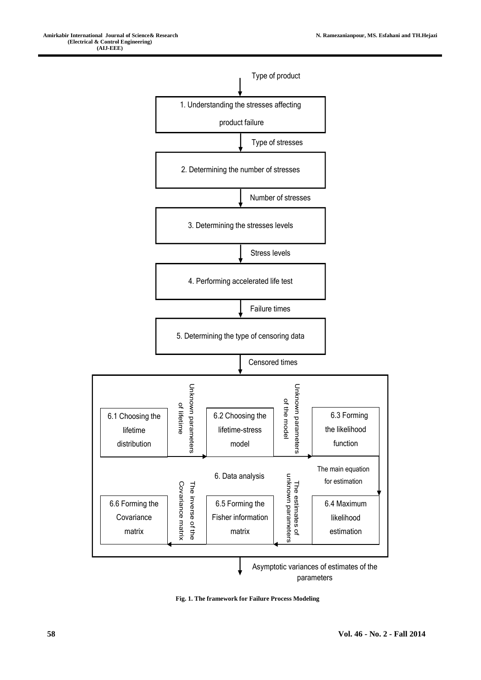

**Fig. 1. The framework for Failure Process Modeling**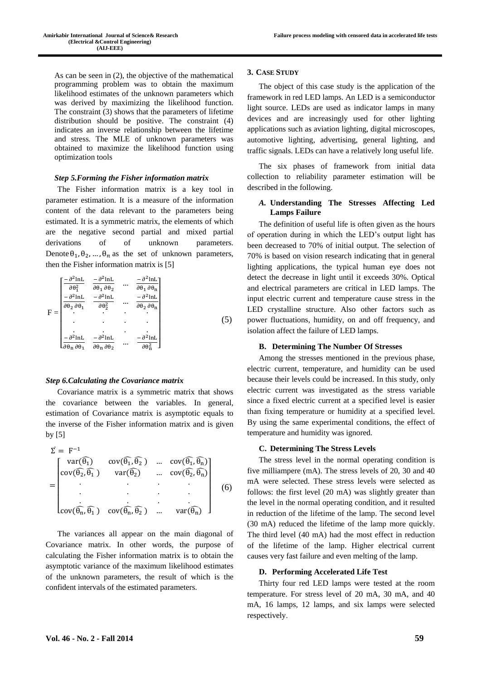As can be seen in (2), the objective of the mathematical programming problem was to obtain the maximum likelihood estimates of the unknown parameters which was derived by maximizing the likelihood function. The constraint (3) shows that the parameters of lifetime distribution should be positive. The constraint (4) indicates an inverse relationship between the lifetime and stress. The MLE of unknown parameters was obtained to maximize the likelihood function using optimization tools

#### *Step 5.Forming the Fisher information matrix*

The Fisher information matrix is a key tool in parameter estimation. It is a measure of the information content of the data relevant to the parameters being estimated. It is a symmetric matrix, the elements of which are the negative second partial and mixed partial derivations of of unknown parameters. Denote  $\theta_1$ ,  $\theta_2$ , ...,  $\theta_n$  as the set of unknown parameters, then the Fisher information matrix is [5]

|                | $- \partial^2$ lnL<br>$\partial \theta_1^2$             | $-\partial^2$ lnL                                                                                                 | $\cdots$ | $-\partial^2$ lnL <sub>1</sub><br>$\partial\theta_1\,\partial\theta_n$ |  |
|----------------|---------------------------------------------------------|-------------------------------------------------------------------------------------------------------------------|----------|------------------------------------------------------------------------|--|
|                | $-\,\partial^2 {\rm ln}{\rm L}$                         | $\begin{aligned} \frac{\partial \theta_1}{\partial \theta_2} \\ -\frac{\partial^2}{\partial \ln L} \end{aligned}$ |          | $-\partial^2 {\rm lnL}$                                                |  |
|                | $\overline{\partial \theta_2 \, \partial \theta_1}$     | $\partial \theta_2^2$                                                                                             | $\cdots$ | $\partial\theta_2\,\partial\theta_n$                                   |  |
| $\overline{F}$ |                                                         |                                                                                                                   |          |                                                                        |  |
|                |                                                         |                                                                                                                   |          | ٠                                                                      |  |
|                |                                                         |                                                                                                                   |          |                                                                        |  |
|                | $-\partial^2$ lnL                                       | $-\partial^2$ lnL                                                                                                 | $\cdots$ | $-\partial^2$ lnL                                                      |  |
|                | $\mathsf{L}\partial\theta_\mathbf{n}\,\partial\theta_1$ | $\partial \theta_n \partial \theta_2$                                                                             |          | $\partial \theta_n^2$                                                  |  |

### *Step 6.Calculating the Covariance matrix*

Covariance matrix is a symmetric matrix that shows the covariance between the variables. In general, estimation of Covariance matrix is asymptotic equals to the inverse of the Fisher information matrix and is given by [5]

$$
\Sigma = F^{-1}
$$
\n
$$
= \begin{bmatrix}\nvar(\widehat{\theta_1}) & cov(\widehat{\theta_1}, \widehat{\theta_2}) & \dots & cov(\widehat{\theta_1}, \widehat{\theta_n}) \\
cov(\widehat{\theta_2}, \widehat{\theta_1}) & var(\widehat{\theta_2}) & \dots & cov(\widehat{\theta_2}, \widehat{\theta_n}) \\
\vdots & \vdots & \ddots & \vdots \\
cov(\widehat{\theta_n}, \widehat{\theta_1}) & cov(\widehat{\theta_n}, \widehat{\theta_2}) & \dots & var(\widehat{\theta_n})\n\end{bmatrix}
$$
\n(6)

The variances all appear on the main diagonal of Covariance matrix. In other words, the purpose of calculating the Fisher information matrix is to obtain the asymptotic variance of the maximum likelihood estimates of the unknown parameters, the result of which is the confident intervals of the estimated parameters.

## **3. CASE STUDY**

The object of this case study is the application of the framework in red LED lamps. An LED is a [semiconductor](http://en.wikipedia.org/wiki/Semiconductor) light source. LEDs are used as indicator lamps in many devices and are increasingly used for other lighting applications such as [aviation lighting,](http://en.wikipedia.org/wiki/Navigation_light#Aviation_navigation_lights) [digital microscopes,](http://en.wikipedia.org/wiki/Digital_microscope) [automotive lighting,](http://en.wikipedia.org/wiki/Automotive_lighting#Light_emitting_diodes_.28LED.29) advertising, general lighting, and [traffic signals.](http://en.wikipedia.org/wiki/Traffic_signal) LEDs can have a relatively long useful life.

The six phases of framework from initial data collection to reliability parameter estimation will be described in the following.

# *A.* **Understanding The Stresses Affecting Led Lamps Failure**

The definition of useful life is often given as the hours of operation during in which the LED's output light has been decreased to 70% of initial output. The selection of 70% is based on vision research indicating that in general lighting applications, the typical human eye does not detect the decrease in light until it exceeds 30%. Optical and electrical parameters are critical in LED lamps. The input electric current and temperature cause stress in the LED crystalline structure. Also other factors such as power fluctuations, humidity, on and off frequency, and isolation affect the failure of LED lamps.

## **B. Determining The Number Of Stresses**

Among the stresses mentioned in the previous phase, electric current, temperature, and humidity can be used because their levels could be increased. In this study, only electric current was investigated as the stress variable since a fixed electric current at a specified level is easier than fixing temperature or humidity at a specified level. By using the same experimental conditions, the effect of temperature and humidity was ignored.

#### **C. Determining The Stress Levels**

The stress level in the normal operating condition is five milliampere (mA). The stress levels of 20, 30 and 40 mA were selected. These stress levels were selected as follows: the first level (20 mA) was slightly greater than the level in the normal operating condition, and it resulted in reduction of the lifetime of the lamp. The second level (30 mA) reduced the lifetime of the lamp more quickly. The third level (40 mA) had the most effect in reduction of the lifetime of the lamp. Higher electrical current causes very fast failure and even melting of the lamp.

#### **D. Performing Accelerated Life Test**

Thirty four red LED lamps were tested at the room temperature. For stress level of 20 mA, 30 mA, and 40 mA, 16 lamps, 12 lamps, and six lamps were selected respectively.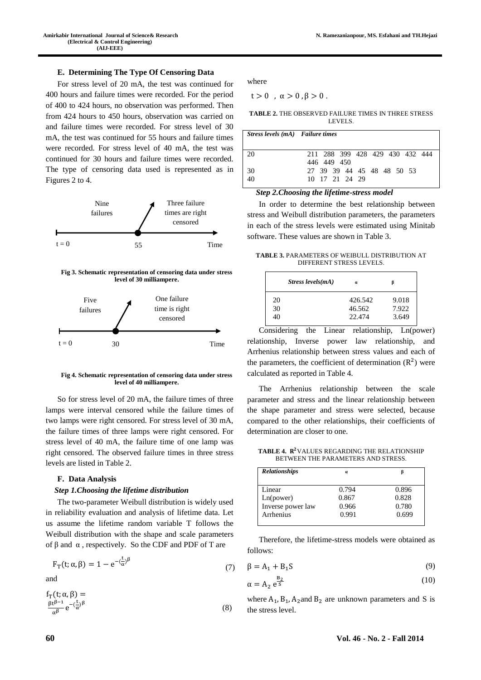## **E. Determining The Type Of Censoring Data**

For stress level of 20 mA, the test was continued for 400 hours and failure times were recorded. For the period of 400 to 424 hours, no observation was performed. Then from 424 hours to 450 hours, observation was carried on and failure times were recorded. For stress level of 30 mA, the test was continued for 55 hours and failure times were recorded. For stress level of 40 mA, the test was continued for 30 hours and failure times were recorded. The type of censoring data used is represented as in Figures 2 to 4.



**Fig 3. Schematic representation of censoring data under stress level of 30 milliampere.**



**Fig 4. Schematic representation of censoring data under stress level of 40 milliampere.**

So for stress level of 20 mA, the failure times of three lamps were interval censored while the failure times of two lamps were right censored. For stress level of 30 mA, the failure times of three lamps were right censored. For stress level of 40 mA, the failure time of one lamp was right censored. The observed failure times in three stress levels are listed in Table 2.

# **F. Data Analysis**

# *Step 1.Choosing the lifetime distribution*

The two-parameter Weibull distribution is widely used in reliability evaluation and analysis of lifetime data. Let us assume the lifetime random variable T follows the Weibull distribution with the shape and scale parameters of β and α , respectively. So the CDF and PDF of T are

$$
F_T(t; \alpha, \beta) = 1 - e^{-(\frac{t}{\alpha})^{\beta}}
$$
\n(7)

and

$$
f_T(t; \alpha, \beta) =
$$
  
\n
$$
\frac{\beta t^{\beta - 1}}{\alpha^{\beta}} e^{-\left(\frac{t}{\alpha}\right)^{\beta}}
$$
 (8)

where

 $t > 0$ ,  $\alpha > 0$ ,  $\beta > 0$ .

| <b>TABLE 2. THE OBSERVED FAILURE TIMES IN THREE STRESS</b> |        |  |  |
|------------------------------------------------------------|--------|--|--|
|                                                            | LEVELS |  |  |

| Stress levels (mA) Failure times |                                                |
|----------------------------------|------------------------------------------------|
| 20                               | 211 288 399 428 429 430 432 444<br>446 449 450 |
| 30<br>40                         | 27 39 39 44 45 48 48 50 53<br>10 17 21 24 29   |

#### *Step 2.Choosing the lifetime-stress model*

In order to determine the best relationship between stress and Weibull distribution parameters, the parameters in each of the stress levels were estimated using Minitab software. These values are shown in Table 3.

**TABLE 3.** PARAMETERS OF WEIBULL DISTRIBUTION AT DIFFERENT STRESS LEVELS.

|    | Stress levels $(mA)$ | $\alpha$ | в     |
|----|----------------------|----------|-------|
| 20 |                      | 426.542  | 9.018 |
| 30 |                      | 46.562   | 7.922 |
| 40 |                      | 22.474   | 3.649 |

Considering the Linear relationship, Ln(power) relationship, Inverse power law relationship, and Arrhenius relationship between stress values and each of the parameters, the coefficient of determination  $(R^2)$  were calculated as reported in Table 4.

The Arrhenius relationship between the scale parameter and stress and the linear relationship between the shape parameter and stress were selected, because compared to the other relationships, their coefficients of determination are closer to one.

TABLE 4. R<sup>2</sup>VALUES REGARDING THE RELATIONSHIP BETWEEN THE PARAMETERS AND STRESS.

| $\alpha$ |       |  |
|----------|-------|--|
| 0.794    | 0.896 |  |
| 0.867    | 0.828 |  |
| 0.966    | 0.780 |  |
| 0.991    | 0.699 |  |
|          |       |  |

Therefore, the lifetime-stress models were obtained as follows:

$$
\beta = A_1 + B_1 S \tag{9}
$$

$$
\alpha = A_2 e^{\frac{B_2}{S}} \tag{10}
$$

where  $A_1$ ,  $B_1$ ,  $A_2$  and  $B_2$  are unknown parameters and S is the stress level.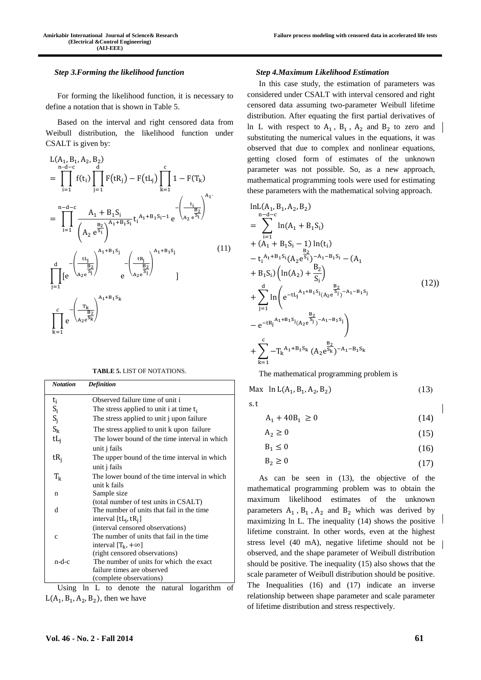#### *Step 3.Forming the likelihood function*

For forming the likelihood function, it is necessary to define a notation that is shown in Table 5.

Based on the interval and right censored data from Weibull distribution, the likelihood function under CSALT is given by:

$$
L(A_1, B_1, A_2, B_2)
$$
\n
$$
= \prod_{i=1}^{n-d-c} f(t_i) \prod_{j=1}^{d} F(tR_j) - F(tL_j) \prod_{k=1}^{c} 1 - F(T_k)
$$
\n
$$
= \prod_{i=1}^{n-d-c} \frac{A_1 + B_1 S_i}{\left(A_2 e^{\frac{B_2}{S_i}}\right)^{A_1 + B_1 S_i}} t_i^{A_1 + B_1 S_i - 1} e^{-\left(\frac{t_i}{A_2 e^{\frac{B_2}{S_i}}}\right)^{A_1}} e^{-\left(\frac{tL_j}{A_2 e^{\frac{B_2}{S_j}}}\right)}
$$
\n
$$
\prod_{j=1}^{d} [e^{-\left(\frac{tL_j}{A_2 e^{\frac{B_2}{S_j}}}\right)^{A_1 + B_1 S_j}} e^{-\left(\frac{tR_j}{A_2 e^{\frac{B_2}{S_j}}}\right)^{A_1 + B_1 S_j}}
$$
\n
$$
\prod_{k=1}^{c} e^{-\left(\frac{T_k}{A_2 e^{\frac{B_2}{S_k}}}\right)^{A_1 + B_1 S_k}}
$$
\n
$$
\prod_{k=1}^{c} e^{-\left(\frac{T_k}{A_2 e^{\frac{B_2}{S_k}}}\right)^{A_1 + B_1 S_k}}
$$
\n(11)

|  | <b>TABLE 5. LIST OF NOTATIONS.</b> |
|--|------------------------------------|
|--|------------------------------------|

| <b>Notation</b> | <b>Definition</b>                             |  |
|-----------------|-----------------------------------------------|--|
| ti              | Observed failure time of unit i               |  |
|                 | The stress applied to unit i at time $t_i$    |  |
| $S_i$<br>$S_j$  | The stress applied to unit j upon failure     |  |
| $S_{k}$         | The stress applied to unit k upon failure     |  |
| $tL_i$          | The lower bound of the time interval in which |  |
|                 | unit j fails                                  |  |
| $tR_i$          | The upper bound of the time interval in which |  |
|                 | unit j fails                                  |  |
| $T_{\rm k}$     | The lower bound of the time interval in which |  |
|                 | unit k fails                                  |  |
| n               | Sample size                                   |  |
|                 | (total number of test units in CSALT)         |  |
| d               | The number of units that fail in the time     |  |
|                 | interval $[tL_i, tR_i]$                       |  |
|                 | (interval censored observations)              |  |
| $\mathbf{C}$    | The number of units that fail in the time     |  |
|                 | interval $[T_k, +\infty]$                     |  |
|                 | (right censored observations)                 |  |
| n-d-c           | The number of units for which the exact       |  |
|                 | failure times are observed                    |  |
|                 | (complete observations)                       |  |

Using ln L to denote the natural logarithm of  $L(A_1, B_1, A_2, B_2)$ , then we have

#### *Step 4.Maximum Likelihood Estimation*

In this case study, the estimation of parameters was considered under CSALT with interval censored and right censored data assuming two-parameter Weibull lifetime distribution. After equating the first partial derivatives of In L with respect to  $A_1$ ,  $B_1$ ,  $A_2$  and  $B_2$  to zero and substituting the numerical values in the equations, it was observed that due to complex and nonlinear equations, getting closed form of estimates of the unknown parameter was not possible. So, as a new approach, mathematical programming tools were used for estimating these parameters with the mathematical solving approach.

$$
\ln L(A_1, B_1, A_2, B_2)
$$
\n
$$
= \sum_{i=1}^{n-d-c} \ln(A_1 + B_1S_i)
$$
\n
$$
+ (A_1 + B_1S_i - 1) \ln(t_i)
$$
\n
$$
- t_i^{A_1 + B_1S_i} (A_2 e^{\frac{B_2}{S_i}})^{-A_1 - B_1S_i} - (A_1 + B_1S_i) (\ln(A_2) + \frac{B_2}{S_i})
$$
\n
$$
+ \sum_{j=1}^{d} \ln \left( e^{-tL_j^{A_1 + B_1S_j} (A_2 e^{\frac{B_2}{S_j}})^{-A_1 - B_1S_j}} - e^{-tR_j^{A_1 + B_1S_j} (A_2 e^{\frac{B_2}{S_j}})^{-A_1 - B_1S_j}} \right)
$$
\n
$$
+ \sum_{k=1}^{c} -T_k^{A_1 + B_1S_k} (A_2 e^{\frac{B_2}{S_k}})^{-A_1 - B_1S_k}
$$
\n(12)

The mathematical programming problem is

Max  $\ln L(A_1, B_1, A_2, B_2)$  $(13)$ 

s.t

(14)  $A_1 + 40B_1 \ge 0$ 

$$
A_2 \ge 0 \tag{15}
$$

$$
B_1 \le 0 \tag{16}
$$

$$
B_2 \ge 0 \tag{17}
$$

As can be seen in (13), the objective of the mathematical programming problem was to obtain the maximum likelihood estimates of the unknown parameters  $A_1$ ,  $B_1$ ,  $A_2$  and  $B_2$  which was derived by maximizing ln L. The inequality (14) shows the positive lifetime constraint. In other words, even at the highest stress level (40 mA), negative lifetime should not be observed, and the shape parameter of Weibull distribution should be positive. The inequality (15) also shows that the scale parameter of Weibull distribution should be positive. The Inequalities (16) and (17) indicate an inverse relationship between shape parameter and scale parameter of lifetime distribution and stress respectively.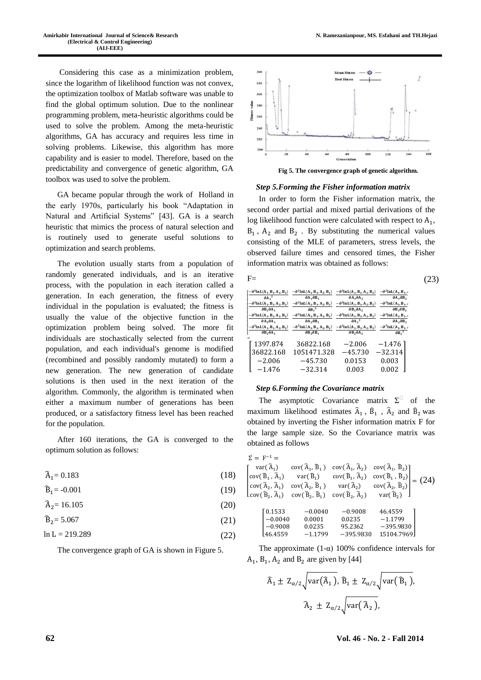Considering this case as a minimization problem, since the logarithm of likelihood function was not convex, the optimization toolbox of Matlab software was unable to find the global optimum solution. Due to the nonlinear programming problem, meta-heuristic algorithms could be used to solve the problem. Among the meta-heuristic algorithms, GA has accuracy and requires less time in solving problems. Likewise, this algorithm has more capability and is easier to model. Therefore, based on the predictability and convergence of genetic algorithm, GA toolbox was used to solve the problem.

GA became popular through the work of [Holland](http://en.wikipedia.org/wiki/John_Henry_Holland) in the early 1970s, particularly his book "Adaptation in Natural and Artificial Systems" [43]. GA is a [search](http://en.wikipedia.org/wiki/Search_algorithm) [heuristic](http://en.wikipedia.org/wiki/Heuristic_%28computer_science%29) that mimics the process of [natural selection](http://en.wikipedia.org/wiki/Natural_selection) and is routinely used to generate useful solutions to [optimization](http://en.wikipedia.org/wiki/Optimization_%28mathematics%29) and [search](http://en.wikipedia.org/wiki/Search_algorithm) [problems.](http://en.wikipedia.org/wiki/Problem) 

The evolution usually starts from a population of randomly generated individuals, and is an [iterative](http://en.wikipedia.org/wiki/Iteration)  [process,](http://en.wikipedia.org/wiki/Iteration) with the population in each iteration called a generation. In each generation, the [fitness](http://en.wikipedia.org/wiki/Fitness_%28biology%29) of every individual in the population is evaluated; the fitness is usually the value of the objective function in the optimization problem being solved. The more fit individuals are [stochastically](http://en.wikipedia.org/wiki/Stochastics) selected from the current population, and each individual's genome is modified [\(recombined](http://en.wikipedia.org/wiki/Crossover_%28genetic_algorithm%29) and possibly randomly mutated) to form a new generation. The new generation of candidate solutions is then used in the next iteration of the [algorithm.](http://en.wikipedia.org/wiki/Algorithm) Commonly, the algorithm is terminated when either a maximum number of generations has been produced, or a satisfactory fitness level has been reached for the population.

After 160 iterations, the GA is converged to the optimum solution as follows:

(18)  $\hat{A}_1 = 0.183$ 

(19)  $\widehat{B}_1 = -0.001$ 

(20)  $\hat{A}_2$ = 16.105

(21)  $B_2 = 5.067$ 

$$
\ln L = 219.289\tag{22}
$$

The convergence graph of GA is shown in Figure 5.



**Fig 5. The convergence graph of genetic algorithm.**

#### *Step 5.Forming the Fisher information matrix*

In order to form the Fisher information matrix, the second order partial and mixed partial derivations of the log likelihood function were calculated with respect to  $A_1$ ,  $B_1$ ,  $A_2$  and  $B_2$ . By substituting the numerical values consisting of the MLE of parameters, stress levels, the observed failure times and censored times, the Fisher information matrix was obtained as follows:

|   | $F=$                                                                   |                                                                                                                           |                                                                        |                                                                              |  |
|---|------------------------------------------------------------------------|---------------------------------------------------------------------------------------------------------------------------|------------------------------------------------------------------------|------------------------------------------------------------------------------|--|
|   | $[-\partial^2 \ln L(A_1, B_1, A_2, B_2)]$<br>$\partial A_1^2$          | $-\partial^2 \ln L(A_1, B_1, A_2, B_2)$<br>$\partial A_1 \partial B_1$                                                    | $-\partial^2 \ln L(A_1, B_1, A_2, B_2)$<br>$\partial A_1 \partial A_2$ | $-\partial^2 \ln L(A_1, B_1)$<br>$\partial A_1 \partial B_2$                 |  |
|   | $\partial B_1 \partial A_1$                                            | $-\partial^2 \ln L(A_1, B_1, A_2, B_2)$ $-\partial^2 \ln L(A_1, B_1, A_2, B_2)$<br>$\partial$ B <sub>1</sub> <sup>2</sup> | $-\partial^2 \ln L(A_1, B_1, A_2, B_2)$<br>$\partial B_1 \partial A_2$ | $-\partial^2 \ln L(A_1, B_1)$<br>$\partial B_1 \partial B_2$                 |  |
|   | $-\partial^2 \ln L(A_1, B_1, A_2, B_2)$<br>$\partial A_2 \partial A_1$ | $-\partial^2 \ln L(A_1, B_1, A_2, B_2)$<br>$\partial A_2 \partial B_1$                                                    | $-\partial^2 \ln L(A_1, B_1, A_2, B_2)$<br>$\partial A_2^2$            | $-\partial^2 \ln L(A_1, B_1)$ .<br>$\partial A_2 \partial B_2$               |  |
|   | $-\partial^2 \ln L(A_1, B_1, A_2, B_2)$<br>$\partial B_2 \partial A_1$ | $-\partial^2 \ln L(A_1, B_1, A_2, B_2)$<br>$\partial$ B <sub>2</sub> $\partial$ B <sub>1</sub>                            | $-\partial^2 \ln L(A_1, B_1, A_2, B_2)$<br>$\partial B_2 \partial A_2$ | $-\partial^2 \ln L(A_1, B_1, A_2)$<br>$\partial$ B <sub>2</sub> <sup>2</sup> |  |
| = |                                                                        |                                                                                                                           |                                                                        |                                                                              |  |
|   | 1397.874<br>36822.168                                                  | 36822.168<br>1051471.328                                                                                                  | $-2.006$<br>$-45.730$                                                  | $-1.476$<br>$-32.314$                                                        |  |
|   | $-2.006$                                                               | $-45.730$                                                                                                                 | 0.0153                                                                 | 0.003                                                                        |  |
|   | $-1.476$                                                               | $-32.314$                                                                                                                 | 0.003                                                                  | 0.002                                                                        |  |

## *Step 6.Forming the Covariance matrix*

The asymptotic Covariance matrix  $\Sigma^{\Box}$  of the maximum likelihood estimates  $\hat{A}_1$ ,  $\hat{B}_1$ ,  $\hat{A}_2$  and  $\hat{B}_2$  was obtained by inverting the Fisher information matrix F for the large sample size. So the Covariance matrix was obtained as follows

$$
\Sigma = F^{-1} = \begin{bmatrix}\nvar(\hat{A}_1) & cov(\hat{A}_1, \hat{B}_1) & cov(\hat{A}_1, \hat{A}_2) & cov(\hat{A}_1, \hat{B}_2) \\
cov(\hat{B}_1, \hat{A}_1) & var(\hat{B}_1) & cov(\hat{B}_1, \hat{A}_2) & cov(\hat{B}_1, \hat{B}_2) \\
cov(\hat{A}_2, \hat{A}_1) & cov(\hat{A}_2, \hat{B}_1) & var(\hat{A}_2) & cov(\hat{A}_2, \hat{B}_2) \\
cov(\hat{B}_2, \hat{A}_1) & cov(\hat{B}_2, \hat{B}_1) & cov(\hat{B}_2, \hat{A}_2) & var(\hat{B}_2)\n\end{bmatrix} = (24)
$$
\n
$$
\begin{bmatrix}\n0.1533 & -0.0040 & -0.9008 & 46.4559 \\
-0.0040 & 0.0001 & 0.0235 & -1.1799 \\
-0.9008 & 0.0235 & 95.2362 & -395.9830 \\
46.4559 & -1.1799 & -395.9830 & 15104.7969\n\end{bmatrix}
$$

The approximate  $(1-\alpha)$  100% confidence intervals for  $A_1$ ,  $B_1$ ,  $A_2$  and  $B_2$  are given by [44]

$$
\begin{aligned}\n\widehat{A}_1 \pm Z_{\alpha/2} \sqrt{\text{var}(\widehat{A}_1)}, \widehat{B}_1 \pm Z_{\alpha/2} \sqrt{\text{var}(\widehat{B}_1)}, \\
\widehat{A}_2 \pm Z_{\alpha/2} \sqrt{\text{var}(\widehat{A}_2)},\n\end{aligned}
$$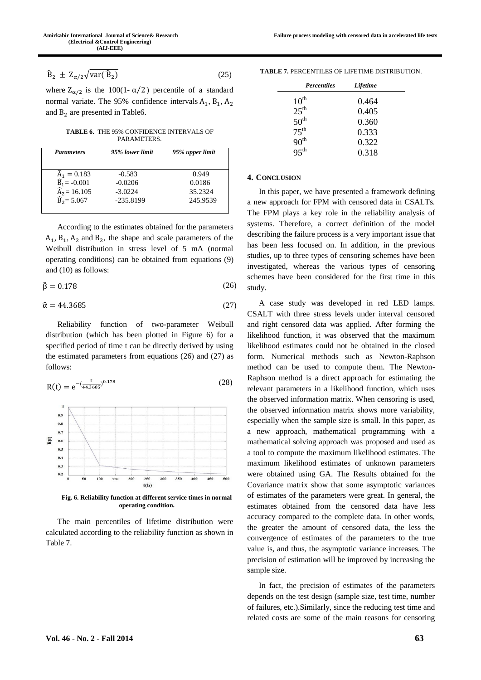where  $Z_{\alpha/2}$  is the 100(1- $\alpha/2$ ) percentile of a standard normal variate. The 95% confidence intervals  $A_1$ ,  $B_1$ ,  $A_2$ and  $B_2$  are presented in Table6.

**TABLE 6.** THE 95% CONFIDENCE INTERVALS OF PARAMETERS.

| <b>Parameters</b>                 | 95% lower limit | 95% upper limit |
|-----------------------------------|-----------------|-----------------|
|                                   |                 |                 |
| $\hat{A}_1 = 0.183$               | $-0.583$        | 0.949           |
| $\widehat{\mathbf{B}}_1 = -0.001$ | $-0.0206$       | 0.0186          |
| $\widehat{A}_2$ = 16.105          | $-3.0224$       | 35.2324         |
| $\widehat{B}_2 = 5.067$           | $-235.8199$     | 245.9539        |

According to the estimates obtained for the parameters  $A_1$ ,  $B_1$ ,  $A_2$  and  $B_2$ , the shape and scale parameters of the Weibull distribution in stress level of 5 mA (normal operating conditions) can be obtained from equations (9) and (10) as follows:

$$
\hat{\beta} = 0.178\tag{26}
$$

$$
\hat{\alpha} = 44.3685\tag{27}
$$

Reliability function of two-parameter Weibull distribution (which has been plotted in Figure 6) for a specified period of time t can be directly derived by using the estimated parameters from equations (26) and (27) as follows:



**Fig. 6. Reliability function at different service times in normal operating condition.**

The main percentiles of lifetime distribution were calculated according to the reliability function as shown in Table 7.

| <b>TABLE 7. PERCENTILES OF LIFETIME DISTRIBUTION.</b> |
|-------------------------------------------------------|
|-------------------------------------------------------|

| <b>Percentiles</b> | <b>Lifetime</b> |  |
|--------------------|-----------------|--|
| $10^{\text{th}}$   | 0.464           |  |
| $25^{\text{th}}$   | 0.405           |  |
| $50^{\text{th}}$   | 0.360           |  |
| $75^{\text{th}}$   | 0.333           |  |
| 90 <sup>th</sup>   | 0.322           |  |
| 95 <sup>th</sup>   | 0.318           |  |
|                    |                 |  |

#### **4. CONCLUSION**

In this paper, we have presented a framework defining a new approach for FPM with censored data in CSALTs. The FPM plays a key role in the reliability analysis of systems. Therefore, a correct definition of the model describing the failure process is a very important issue that has been less focused on. In addition, in the previous studies, up to three types of censoring schemes have been investigated, whereas the various types of censoring schemes have been considered for the first time in this study.

A case study was developed in red LED lamps. CSALT with three stress levels under interval censored and right censored data was applied. After forming the likelihood function, it was observed that the maximum likelihood estimates could not be obtained in the closed form. Numerical methods such as Newton-Raphson method can be used to compute them. The Newton-Raphson method is a direct approach for estimating the relevant parameters in a likelihood function, which uses the observed information matrix. When censoring is used, the observed information matrix shows more variability, especially when the sample size is small. In this paper, as a new approach, mathematical programming with a mathematical solving approach was proposed and used as a tool to compute the maximum likelihood estimates. The maximum likelihood estimates of unknown parameters were obtained using GA. The Results obtained for the Covariance matrix show that some asymptotic variances of estimates of the parameters were great. In general, the estimates obtained from the censored data have less accuracy compared to the complete data. In other words, the greater the amount of censored data, the less the convergence of estimates of the parameters to the true value is, and thus, the asymptotic variance increases. The precision of estimation will be improved by increasing the sample size.

In fact, the precision of estimates of the parameters depends on the test design (sample size, test time, number of failures, etc.).Similarly, since the reducing test time and related costs are some of the main reasons for censoring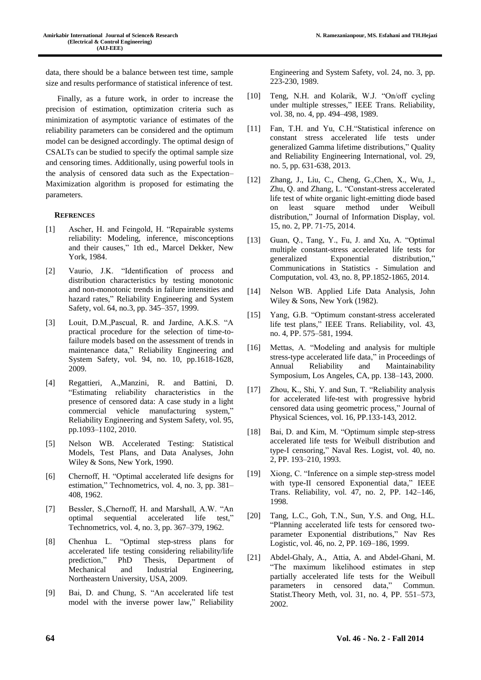data, there should be a balance between test time, sample size and results performance of statistical inference of test.

Finally, as a future work, in order to increase the precision of estimation, optimization criteria such as minimization of asymptotic variance of estimates of the reliability parameters can be considered and the optimum model can be designed accordingly. The optimal design of CSALTs can be studied to specify the optimal sample size and censoring times. Additionally, using powerful tools in the analysis of censored data such as the Expectation– Maximization algorithm is proposed for estimating the parameters.

## **REFRENCES**

- [1] Ascher, H. and Feingold, H. "Repairable systems reliability: Modeling, inference, misconceptions and their causes," 1th ed., Marcel Dekker, New York, 1984.
- [2] Vaurio, J.K. "Identification of process and distribution characteristics by testing monotonic and non-monotonic trends in failure intensities and hazard rates," Reliability Engineering and System Safety, vol. 64, no.3, pp. 345–357, 1999.
- [3] Louit, D.M.,Pascual, R. and Jardine, A.K.S. "A practical procedure for the selection of time-tofailure models based on the assessment of trends in maintenance data," Reliability Engineering and System Safety, vol. 94, no. 10, pp.1618-1628, 2009.
- [4] Regattieri, A.,Manzini, R. and Battini, D. "Estimating reliability characteristics in the presence of censored data: A case study in a light commercial vehicle manufacturing system," Reliability Engineering and System Safety, vol. 95, pp.1093–1102, 2010.
- [5] Nelson WB. Accelerated Testing: Statistical Models, Test Plans, and Data Analyses, John Wiley & Sons, New York, 1990.
- [6] Chernoff, H. "Optimal accelerated life designs for estimation," Technometrics, vol. 4, no. 3, pp. 381– 408, 1962.
- [7] Bessler, S.,Chernoff, H. and Marshall, A.W. "An optimal sequential accelerated life test," Technometrics, vol. 4, no. 3, pp. 367–379, 1962.
- [8] Chenhua L. "Optimal step-stress plans for accelerated life testing considering reliability/life prediction," PhD Thesis, Department of Mechanical and Industrial Engineering, Northeastern University, USA, 2009.
- [9] Bai, D. and Chung, S. "An accelerated life test model with the inverse power law," Reliability

Engineering and System Safety, vol. 24, no. 3, pp. 223-230, 1989.

- [10] Teng, N.H. and Kolarik, W.J. "On/off cycling under multiple stresses," IEEE Trans. Reliability, vol. 38, no. 4, pp. 494–498, 1989.
- [11] Fan, T.H. and Yu, C.H. "Statistical inference on constant stress accelerated life tests under generalized Gamma lifetime distributions," Quality and Reliability Engineering International, vol. 29, no. 5, pp. 631-638, 2013.
- [12] Zhang, J., Liu, C., Cheng, G.,Chen, X., Wu, J., Zhu, Q. and Zhang, L. "Constant-stress accelerated life test of white organic light-emitting diode based on least square method under Weibull distribution," Journal of Information Display, vol. 15, no. 2, PP. 71-75, 2014.
- [13] Guan, Q., Tang, Y., Fu, J. and Xu, A. "Optimal multiple constant-stress accelerated life tests for generalized Exponential distribution," Communications in Statistics - Simulation and Computation, vol. 43, no. 8, PP.1852-1865, 2014.
- [14] Nelson WB. Applied Life Data Analysis, John Wiley & Sons, New York (1982).
- [15] Yang, G.B. "Optimum constant-stress accelerated life test plans," IEEE Trans. Reliability, vol. 43, no. 4, PP. 575–581, 1994.
- [16] Mettas, A. "Modeling and analysis for multiple stress-type accelerated life data," in Proceedings of Annual Reliability and Maintainability Symposium, Los Angeles, CA, pp. 138–143, 2000.
- [17] Zhou, K., Shi, Y. and Sun, T. "Reliability analysis for accelerated life-test with progressive hybrid censored data using geometric process," Journal of Physical Sciences, vol. 16, PP.133-143, 2012.
- [18] Bai, D. and Kim, M. "Optimum simple step-stress accelerated life tests for Weibull distribution and type-I censoring," Naval Res. Logist, vol. 40, no. 2, PP. 193–210, 1993.
- [19] Xiong, C. "Inference on a simple step-stress model with type-II censored Exponential data," IEEE Trans. Reliability, vol. 47, no. 2, PP. 142–146, 1998.
- [20] Tang, L.C., Goh, T.N., Sun, Y.S. and Ong, H.L. "Planning accelerated life tests for censored twoparameter Exponential distributions," Nav Res Logistic, vol. 46, no. 2, PP. 169–186, 1999.
- [21] Abdel-Ghaly, A., Attia, A. and Abdel-Ghani, M. "The maximum likelihood estimates in step partially accelerated life tests for the Weibull parameters in censored data," Commun. Statist.Theory Meth, vol. 31, no. 4, PP. 551–573, 2002.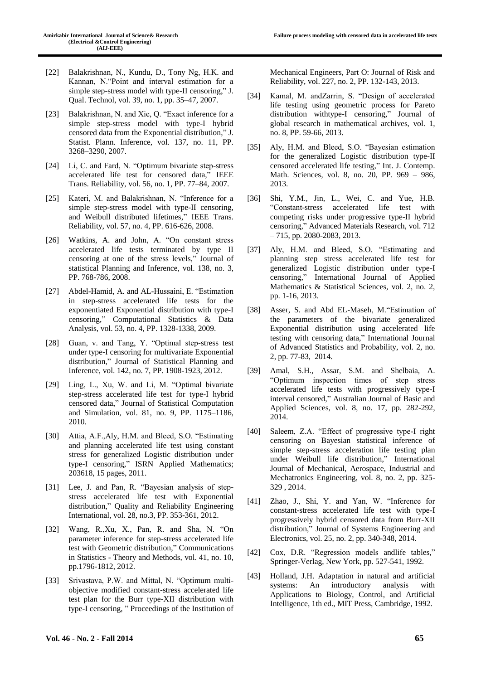- [22] Balakrishnan, N., Kundu, D., Tony Ng, H.K. and Kannan, N."Point and interval estimation for a simple step-stress model with type-II censoring," J. Qual. Technol, vol. 39, no. 1, pp. 35–47, 2007.
- [23] Balakrishnan, N. and Xie, Q. "Exact inference for a simple step-stress model with type-I hybrid censored data from the Exponential distribution," J. Statist. Plann. Inference, vol. 137, no. 11, PP. 3268–3290, 2007.
- [24] Li, C, and Fard, N. "Optimum bivariate step-stress accelerated life test for censored data," IEEE Trans. Reliability, vol. 56, no. 1, PP. 77–84, 2007.
- [25] Kateri, M. and Balakrishnan, N. "Inference for a simple step-stress model with type-II censoring, and Weibull distributed lifetimes," IEEE Trans. Reliability, vol. 57, no. 4, PP. 616-626, 2008.
- [26] Watkins, A. and John, A. "On constant stress accelerated life tests terminated by type II censoring at one of the stress levels," Journal of statistical Planning and Inference, vol. 138, no. 3, PP. 768-786, 2008.
- [27] Abdel-Hamid, A. and AL-Hussaini, E. "Estimation in step-stress accelerated life tests for the exponentiated Exponential distribution with type-I censoring," Computational Statistics & Data Analysis, vol. 53, no. 4, PP. 1328-1338, 2009.
- [28] Guan, v. and Tang, Y. "Optimal step-stress test under type-I censoring for multivariate Exponential distribution," Journal of Statistical Planning and Inference, vol. 142, no. 7, PP. 1908-1923, 2012.
- [29] Ling, L., Xu, W. and Li, M. "Optimal bivariate step-stress accelerated life test for type-I hybrid censored data," Journal of Statistical Computation and Simulation, vol. 81, no. 9, PP. 1175–1186, 2010.
- [30] Attia, A.F.,Aly, H.M. and Bleed, S.O. "Estimating and planning accelerated life test using constant stress for generalized Logistic distribution under type-I censoring," ISRN Applied Mathematics; 203618, 15 pages, 2011.
- [31] Lee, J. and Pan, R. "Bayesian analysis of stepstress accelerated life test with Exponential distribution," Quality and Reliability Engineering International, vol. 28, no.3, PP. 353-361, 2012.
- [32] Wang, R.,Xu, X., Pan, R. and Sha, N. "On parameter inference for step-stress accelerated life test with Geometric distribution," Communications in Statistics - Theory and Methods, vol. 41, no. 10, pp.1796-1812, 2012.
- [33] Srivastava, P.W. and Mittal, N. "Optimum multiobjective modified constant-stress accelerated life test plan for the Burr type-XII distribution with type-I censoring, " Proceedings of the Institution of

Mechanical Engineers, Part O: Journal of Risk and Reliability, vol. 227, no. 2, PP. 132-143, 2013.

- [34] Kamal, M. andZarrin, S. "Design of accelerated life testing using geometric process for Pareto distribution withtype-I censoring," Journal of global research in mathematical archives, vol. 1, no. 8, PP. 59-66, 2013.
- [35] Aly, H.M. and Bleed, S.O. "Bayesian estimation for the generalized Logistic distribution type-II censored accelerated life testing," Int. J. Contemp. Math. Sciences, vol. 8, no. 20, PP. 969 – 986, 2013.
- [36] Shi, Y.M., Jin, L., Wei, C. and Yue, H.B. "Constant-stress accelerated life test with competing risks under progressive type-II hybrid censoring," Advanced Materials Research, vol. 712 – 715, pp. 2080-2083, 2013.
- [37] Aly, H.M. and Bleed, S.O. "Estimating and planning step stress accelerated life test for generalized Logistic distribution under type-I censoring," International Journal of Applied Mathematics & Statistical Sciences, vol. 2, no. 2, pp. 1-16, 2013.
- [38] Asser, S. and Abd EL-Maseh, M."Estimation of the parameters of the bivariate generalized Exponential distribution using accelerated life testing with censoring data," International Journal of Advanced Statistics and Probability, vol. 2, no. 2, pp. 77-83, 2014.
- [39] Amal, S.H., Assar, S.M. and Shelbaia, A. "Optimum inspection times of step stress accelerated life tests with progressively type-I interval censored," Australian Journal of Basic and Applied Sciences, vol. 8, no. 17, pp. 282-292, 2014.
- [40] Saleem, Z.A. "Effect of progressive type-I right censoring on Bayesian statistical inference of simple step-stress acceleration life testing plan under Weibull life distribution," International Journal of Mechanical, Aerospace, Industrial and Mechatronics Engineering, vol. 8, no. 2, pp. 325- 329 , 2014.
- [41] Zhao, J., Shi, Y. and Yan, W. "Inference for constant-stress accelerated life test with type-I progressively hybrid censored data from Burr-XII distribution," Journal of Systems Engineering and Electronics, vol. 25, no. 2, pp. 340-348, 2014.
- [42] Cox, D.R. "Regression models andlife tables," Springer-Verlag, New York, pp. 527-541, 1992.
- [43] Holland, J.H. Adaptation in natural and artificial systems: An introductory analysis with Applications to Biology, Control, and Artificial Intelligence, 1th ed., MIT Press, Cambridge, 1992.